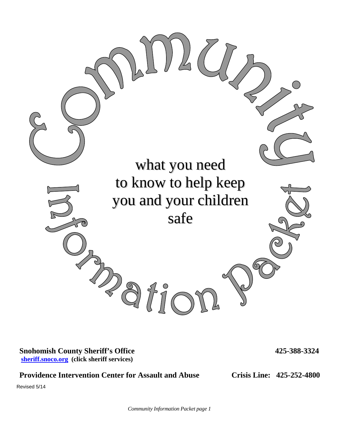

**Snohomish County Sheriff's Office 425-388-3324 [sheriff.snoco.org](http://snoco.org/) (click sheriff services)** 

**Providence Intervention Center for Assault and Abuse Crisis Line: 425-252-4800** 

Revised 5/14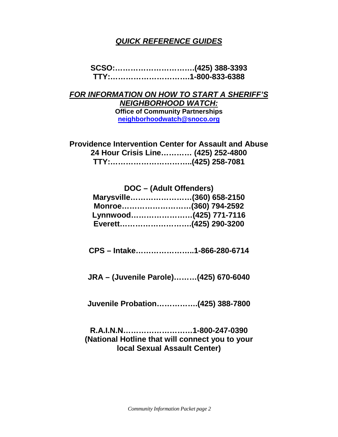# *QUICK REFERENCE GUIDES*

**SCSO:………………………….(425) 388-3393 TTY:………………………….1-800-833-6388**

*FOR INFORMATION ON HOW TO START A SHERIFF'S NEIGHBORHOOD WATCH:* **Office of Community Partnerships [neighborhoodwatch@snoco.org](mailto:neighborhoodwatch@snoco.org)**

**Providence Intervention Center for Assault and Abuse 24 Hour Crisis Line………… (425) 252-4800 TTY:…………………………..(425) 258-7081**

| <b>DOC</b> – (Adult Offenders) |                          |
|--------------------------------|--------------------------|
|                                | Marysville(360) 658-2150 |
|                                | Monroe(360) 794-2592     |
|                                | Lynnwood(425) 771-7116   |
|                                | Everett(425) 290-3200    |

**CPS – Intake…………………..1-866-280-6714**

**JRA – (Juvenile Parole)………(425) 670-6040**

**Juvenile Probation…………….(425) 388-7800**

**R.A.I.N.N………………………1-800-247-0390 (National Hotline that will connect you to your local Sexual Assault Center)**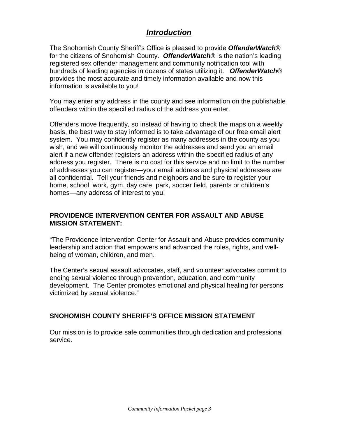# *Introduction*

The Snohomish County Sheriff's Office is pleased to provide *OffenderWatch*® for the citizens of Snohomish County. *OffenderWatch*® is the nation's leading registered sex offender management and community notification tool with hundreds of leading agencies in dozens of states utilizing it. *OffenderWatch*® provides the most accurate and timely information available and now this information is available to you!

You may enter any address in the county and see information on the publishable offenders within the specified radius of the address you enter.

Offenders move frequently, so instead of having to check the maps on a weekly basis, the best way to stay informed is to take advantage of our free email alert system. You may confidently register as many addresses in the county as you wish, and we will continuously monitor the addresses and send you an email alert if a new offender registers an address within the specified radius of any address you register. There is no cost for this service and no limit to the number of addresses you can register—your email address and physical addresses are all confidential. Tell your friends and neighbors and be sure to register your home, school, work, gym, day care, park, soccer field, parents or children's homes—any address of interest to you!

#### **PROVIDENCE INTERVENTION CENTER FOR ASSAULT AND ABUSE MISSION STATEMENT:**

"The Providence Intervention Center for Assault and Abuse provides community leadership and action that empowers and advanced the roles, rights, and wellbeing of woman, children, and men.

The Center's sexual assault advocates, staff, and volunteer advocates commit to ending sexual violence through prevention, education, and community development. The Center promotes emotional and physical healing for persons victimized by sexual violence."

### **SNOHOMISH COUNTY SHERIFF'S OFFICE MISSION STATEMENT**

Our mission is to provide safe communities through dedication and professional service.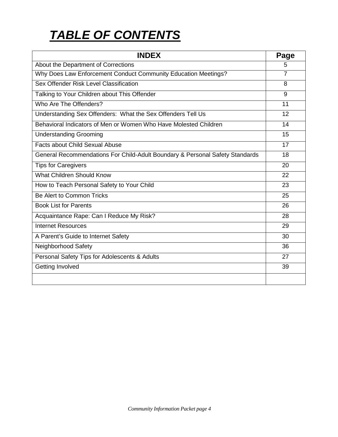# *TABLE OF CONTENTS*

| <b>INDEX</b>                                                                 | Page           |
|------------------------------------------------------------------------------|----------------|
| About the Department of Corrections                                          | 5              |
| Why Does Law Enforcement Conduct Community Education Meetings?               | $\overline{7}$ |
| Sex Offender Risk Level Classification                                       | 8              |
| Talking to Your Children about This Offender                                 | 9              |
| Who Are The Offenders?                                                       | 11             |
| Understanding Sex Offenders: What the Sex Offenders Tell Us                  | 12             |
| Behavioral Indicators of Men or Women Who Have Molested Children             | 14             |
| <b>Understanding Grooming</b>                                                | 15             |
| <b>Facts about Child Sexual Abuse</b>                                        | 17             |
| General Recommendations For Child-Adult Boundary & Personal Safety Standards | 18             |
| <b>Tips for Caregivers</b>                                                   | 20             |
| <b>What Children Should Know</b>                                             | 22             |
| How to Teach Personal Safety to Your Child                                   | 23             |
| Be Alert to Common Tricks                                                    | 25             |
| <b>Book List for Parents</b>                                                 | 26             |
| Acquaintance Rape: Can I Reduce My Risk?                                     | 28             |
| <b>Internet Resources</b>                                                    | 29             |
| A Parent's Guide to Internet Safety                                          | 30             |
| Neighborhood Safety                                                          | 36             |
| Personal Safety Tips for Adolescents & Adults                                | 27             |
| Getting Involved                                                             | 39             |
|                                                                              |                |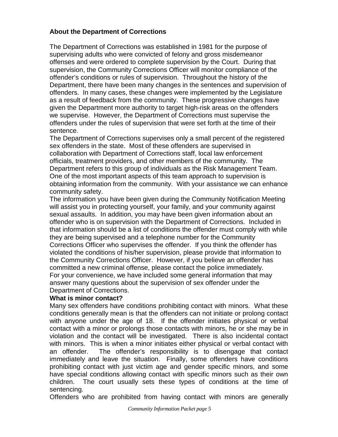### **About the Department of Corrections**

The Department of Corrections was established in 1981 for the purpose of supervising adults who were convicted of felony and gross misdemeanor offenses and were ordered to complete supervision by the Court. During that supervision, the Community Corrections Officer will monitor compliance of the offender's conditions or rules of supervision. Throughout the history of the Department, there have been many changes in the sentences and supervision of offenders. In many cases, these changes were implemented by the Legislature as a result of feedback from the community. These progressive changes have given the Department more authority to target high-risk areas on the offenders we supervise. However, the Department of Corrections must supervise the offenders under the rules of supervision that were set forth at the time of their sentence.

The Department of Corrections supervises only a small percent of the registered sex offenders in the state. Most of these offenders are supervised in collaboration with Department of Corrections staff, local law enforcement officials, treatment providers, and other members of the community. The Department refers to this group of individuals as the Risk Management Team. One of the most important aspects of this team approach to supervision is obtaining information from the community. With your assistance we can enhance community safety.

The information you have been given during the Community Notification Meeting will assist you in protecting yourself, your family, and your community against sexual assaults. In addition, you may have been given information about an offender who is on supervision with the Department of Corrections. Included in that information should be a list of conditions the offender must comply with while they are being supervised and a telephone number for the Community Corrections Officer who supervises the offender. If you think the offender has violated the conditions of his/her supervision, please provide that information to the Community Corrections Officer. However, if you believe an offender has committed a new criminal offense, please contact the police immediately. For your convenience, we have included some general information that may answer many questions about the supervision of sex offender under the Department of Corrections.

#### **What is minor contact?**

Many sex offenders have conditions prohibiting contact with minors. What these conditions generally mean is that the offenders can not initiate or prolong contact with anyone under the age of 18. If the offender initiates physical or verbal contact with a minor or prolongs those contacts with minors, he or she may be in violation and the contact will be investigated. There is also incidental contact with minors. This is when a minor initiates either physical or verbal contact with an offender. The offender's responsibility is to disengage that contact immediately and leave the situation. Finally, some offenders have conditions prohibiting contact with just victim age and gender specific minors, and some have special conditions allowing contact with specific minors such as their own children. The court usually sets these types of conditions at the time of sentencing.

Offenders who are prohibited from having contact with minors are generally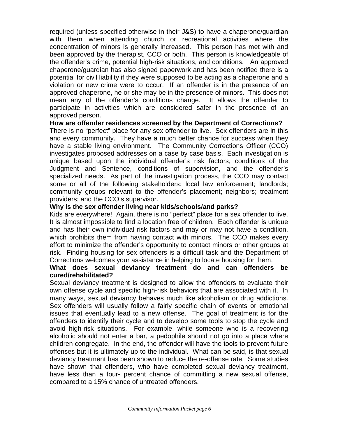required (unless specified otherwise in their J&S) to have a chaperone/guardian with them when attending church or recreational activities where the concentration of minors is generally increased. This person has met with and been approved by the therapist, CCO or both. This person is knowledgeable of the offender's crime, potential high-risk situations, and conditions. An approved chaperone/guardian has also signed paperwork and has been notified there is a potential for civil liability if they were supposed to be acting as a chaperone and a violation or new crime were to occur. If an offender is in the presence of an approved chaperone, he or she may be in the presence of minors. This does not mean any of the offender's conditions change. It allows the offender to participate in activities which are considered safer in the presence of an approved person.

**How are offender residences screened by the Department of Corrections?**

There is no "perfect" place for any sex offender to live. Sex offenders are in this and every community. They have a much better chance for success when they have a stable living environment. The Community Corrections Officer (CCO) investigates proposed addresses on a case by case basis. Each investigation is unique based upon the individual offender's risk factors, conditions of the Judgment and Sentence, conditions of supervision, and the offender's specialized needs. As part of the investigation process, the CCO may contact some or all of the following stakeholders: local law enforcement; landlords; community groups relevant to the offender's placement; neighbors; treatment providers; and the CCO's supervisor.

#### **Why is the sex offender living near kids/schools/and parks?**

Kids are everywhere! Again, there is no "perfect" place for a sex offender to live. It is almost impossible to find a location free of children. Each offender is unique and has their own individual risk factors and may or may not have a condition, which prohibits them from having contact with minors. The CCO makes every effort to minimize the offender's opportunity to contact minors or other groups at risk. Finding housing for sex offenders is a difficult task and the Department of Corrections welcomes your assistance in helping to locate housing for them.

#### **What does sexual deviancy treatment do and can offenders be cured/rehabilitated?**

Sexual deviancy treatment is designed to allow the offenders to evaluate their own offense cycle and specific high-risk behaviors that are associated with it. In many ways, sexual deviancy behaves much like alcoholism or drug addictions. Sex offenders will usually follow a fairly specific chain of events or emotional issues that eventually lead to a new offense. The goal of treatment is for the offenders to identify their cycle and to develop some tools to stop the cycle and avoid high-risk situations. For example, while someone who is a recovering alcoholic should not enter a bar, a pedophile should not go into a place where children congregate. In the end, the offender will have the tools to prevent future offenses but it is ultimately up to the individual. What can be said, is that sexual deviancy treatment has been shown to reduce the re-offense rate. Some studies have shown that offenders, who have completed sexual deviancy treatment, have less than a four- percent chance of committing a new sexual offense, compared to a 15% chance of untreated offenders.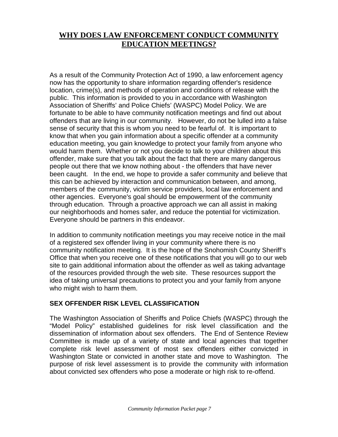# **WHY DOES LAW ENFORCEMENT CONDUCT COMMUNITY EDUCATION MEETINGS?**

As a result of the Community Protection Act of 1990, a law enforcement agency now has the opportunity to share information regarding offender's residence location, crime(s), and methods of operation and conditions of release with the public. This information is provided to you in accordance with Washington Association of Sheriffs' and Police Chiefs' (WASPC) Model Policy. We are fortunate to be able to have community notification meetings and find out about offenders that are living in our community. However, do not be lulled into a false sense of security that this is whom you need to be fearful of. It is important to know that when you gain information about a specific offender at a community education meeting, you gain knowledge to protect your family from anyone who would harm them. Whether or not you decide to talk to your children about this offender, make sure that you talk about the fact that there are many dangerous people out there that we know nothing about - the offenders that have never been caught. In the end, we hope to provide a safer community and believe that this can be achieved by interaction and communication between, and among, members of the community, victim service providers, local law enforcement and other agencies. Everyone's goal should be empowerment of the community through education. Through a proactive approach we can all assist in making our neighborhoods and homes safer, and reduce the potential for victimization. Everyone should be partners in this endeavor.

In addition to community notification meetings you may receive notice in the mail of a registered sex offender living in your community where there is no community notification meeting. It is the hope of the Snohomish County Sheriff's Office that when you receive one of these notifications that you will go to our web site to gain additional information about the offender as well as taking advantage of the resources provided through the web site. These resources support the idea of taking universal precautions to protect you and your family from anyone who might wish to harm them.

#### **SEX OFFENDER RISK LEVEL CLASSIFICATION**

The Washington Association of Sheriffs and Police Chiefs (WASPC) through the "Model Policy" established guidelines for risk level classification and the dissemination of information about sex offenders. The End of Sentence Review Committee is made up of a variety of state and local agencies that together complete risk level assessment of most sex offenders either convicted in Washington State or convicted in another state and move to Washington. The purpose of risk level assessment is to provide the community with information about convicted sex offenders who pose a moderate or high risk to re-offend.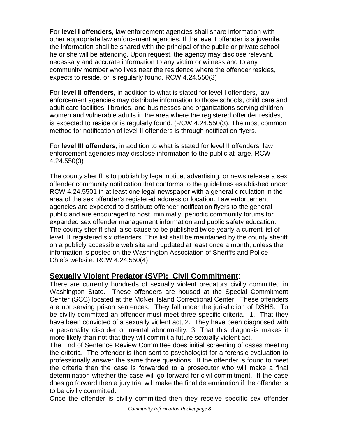For **level I offenders,** law enforcement agencies shall share information with other appropriate law enforcement agencies. If the level I offender is a juvenile, the information shall be shared with the principal of the public or private school he or she will be attending. Upon request, the agency may disclose relevant, necessary and accurate information to any victim or witness and to any community member who lives near the residence where the offender resides, expects to reside, or is regularly found. RCW 4.24.550(3)

For **level II offenders,** in addition to what is stated for level I offenders, law enforcement agencies may distribute information to those schools, child care and adult care facilities, libraries, and businesses and organizations serving children, women and vulnerable adults in the area where the registered offender resides, is expected to reside or is regularly found. (RCW 4.24.550(3). The most common method for notification of level II offenders is through notification flyers.

For **level III offenders**, in addition to what is stated for level II offenders, law enforcement agencies may disclose information to the public at large. RCW 4.24.550(3)

The county sheriff is to publish by legal notice, advertising, or news release a sex offender community notification that conforms to the guidelines established under RCW 4.24.5501 in at least one legal newspaper with a general circulation in the area of the sex offender's registered address or location. Law enforcement agencies are expected to distribute offender notification flyers to the general public and are encouraged to host, minimally, periodic community forums for expanded sex offender management information and public safety education. The county sheriff shall also cause to be published twice yearly a current list of level III registered six offenders. This list shall be maintained by the county sheriff on a publicly accessible web site and updated at least once a month, unless the information is posted on the Washington Association of Sheriffs and Police Chiefs website. RCW 4.24.550(4)

# **Sexually Violent Predator (SVP): Civil Commitment**:

There are currently hundreds of sexually violent predators civilly committed in Washington State. These offenders are housed at the Special Commitment Center (SCC) located at the McNeil Island Correctional Center. These offenders are not serving prison sentences. They fall under the jurisdiction of DSHS. To be civilly committed an offender must meet three specific criteria. 1. That they have been convicted of a sexually violent act, 2. They have been diagnosed with a personality disorder or mental abnormality, 3. That this diagnosis makes it more likely than not that they will commit a future sexually violent act.

The End of Sentence Review Committee does initial screening of cases meeting the criteria. The offender is then sent to psychologist for a forensic evaluation to professionally answer the same three questions. If the offender is found to meet the criteria then the case is forwarded to a prosecutor who will make a final determination whether the case will go forward for civil commitment. If the case does go forward then a jury trial will make the final determination if the offender is to be civilly committed.

Once the offender is civilly committed then they receive specific sex offender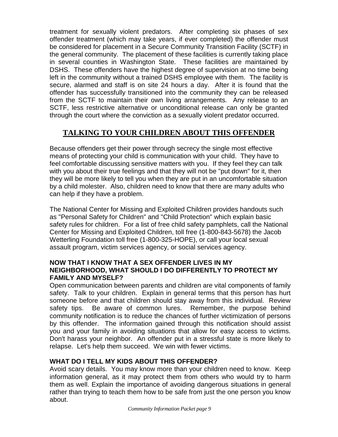treatment for sexually violent predators. After completing six phases of sex offender treatment (which may take years, if ever completed) the offender must be considered for placement in a Secure Community Transition Facility (SCTF) in the general community. The placement of these facilities is currently taking place in several counties in Washington State. These facilities are maintained by DSHS. These offenders have the highest degree of supervision at no time being left in the community without a trained DSHS employee with them. The facility is secure, alarmed and staff is on site 24 hours a day. After it is found that the offender has successfully transitioned into the community they can be released from the SCTF to maintain their own living arrangements. Any release to an SCTF, less restrictive alternative or unconditional release can only be granted through the court where the conviction as a sexually violent predator occurred.

# **TALKING TO YOUR CHILDREN ABOUT THIS OFFENDER**

Because offenders get their power through secrecy the single most effective means of protecting your child is communication with your child. They have to feel comfortable discussing sensitive matters with you. If they feel they can talk with you about their true feelings and that they will not be "put down" for it, then they will be more likely to tell you when they are put in an uncomfortable situation by a child molester. Also, children need to know that there are many adults who can help if they have a problem.

The National Center for Missing and Exploited Children provides handouts such as "Personal Safety for Children" and "Child Protection" which explain basic safety rules for children. For a list of free child safety pamphlets, call the National Center for Missing and Exploited Children, toll free (1-800-843-5678) the Jacob Wetterling Foundation toll free (1-800-325-HOPE), or call your local sexual assault program, victim services agency, or social services agency.

### **NOW THAT I KNOW THAT A SEX OFFENDER LIVES IN MY NEIGHBORHOOD, WHAT SHOULD I DO DIFFERENTLY TO PROTECT MY FAMILY AND MYSELF?**

Open communication between parents and children are vital components of family safety. Talk to your children. Explain in general terms that this person has hurt someone before and that children should stay away from this individual. Review safety tips. Be aware of common lures. Remember, the purpose behind community notification is to reduce the chances of further victimization of persons by this offender. The information gained through this notification should assist you and your family in avoiding situations that allow for easy access to victims. Don't harass your neighbor. An offender put in a stressful state is more likely to relapse. Let's help them succeed. We win with fewer victims.

# **WHAT DO I TELL MY KIDS ABOUT THIS OFFENDER?**

Avoid scary details. You may know more than your children need to know. Keep information general, as it may protect them from others who would try to harm them as well. Explain the importance of avoiding dangerous situations in general rather than trying to teach them how to be safe from just the one person you know about.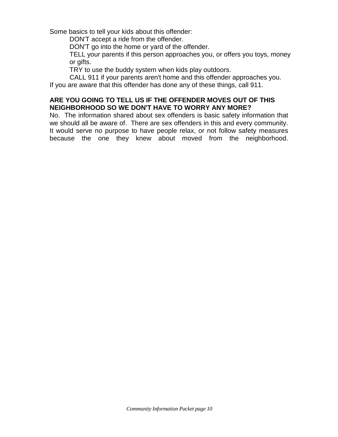Some basics to tell your kids about this offender:

DON'T accept a ride from the offender.

DON'T go into the home or yard of the offender.

TELL your parents if this person approaches you, or offers you toys, money or gifts.

TRY to use the buddy system when kids play outdoors.

CALL 911 if your parents aren't home and this offender approaches you.

If you are aware that this offender has done any of these things, call 911.

#### **ARE YOU GOING TO TELL US IF THE OFFENDER MOVES OUT OF THIS NEIGHBORHOOD SO WE DON'T HAVE TO WORRY ANY MORE?**

No. The information shared about sex offenders is basic safety information that we should all be aware of. There are sex offenders in this and every community. It would serve no purpose to have people relax, or not follow safety measures because the one they knew about moved from the neighborhood.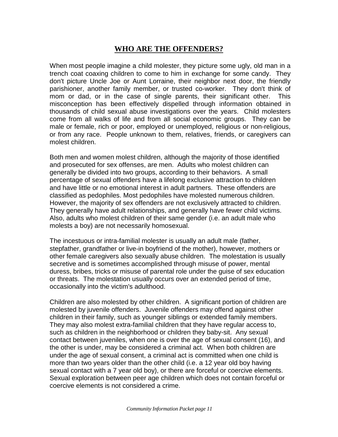# **WHO ARE THE OFFENDERS?**

When most people imagine a child molester, they picture some ugly, old man in a trench coat coaxing children to come to him in exchange for some candy. They don't picture Uncle Joe or Aunt Lorraine, their neighbor next door, the friendly parishioner, another family member, or trusted co-worker. They don't think of mom or dad, or in the case of single parents, their significant other. This misconception has been effectively dispelled through information obtained in thousands of child sexual abuse investigations over the years. Child molesters come from all walks of life and from all social economic groups. They can be male or female, rich or poor, employed or unemployed, religious or non-religious, or from any race. People unknown to them, relatives, friends, or caregivers can molest children.

Both men and women molest children, although the majority of those identified and prosecuted for sex offenses, are men. Adults who molest children can generally be divided into two groups, according to their behaviors. A small percentage of sexual offenders have a lifelong exclusive attraction to children and have little or no emotional interest in adult partners. These offenders are classified as pedophiles. Most pedophiles have molested numerous children. However, the majority of sex offenders are not exclusively attracted to children. They generally have adult relationships, and generally have fewer child victims. Also, adults who molest children of their same gender (i.e. an adult male who molests a boy) are not necessarily homosexual.

The incestuous or intra-familial molester is usually an adult male (father, stepfather, grandfather or live-in boyfriend of the mother), however, mothers or other female caregivers also sexually abuse children. The molestation is usually secretive and is sometimes accomplished through misuse of power, mental duress, bribes, tricks or misuse of parental role under the guise of sex education or threats. The molestation usually occurs over an extended period of time, occasionally into the victim's adulthood.

Children are also molested by other children. A significant portion of children are molested by juvenile offenders. Juvenile offenders may offend against other children in their family, such as younger siblings or extended family members. They may also molest extra-familial children that they have regular access to, such as children in the neighborhood or children they baby-sit. Any sexual contact between juveniles, when one is over the age of sexual consent (16), and the other is under, may be considered a criminal act. When both children are under the age of sexual consent, a criminal act is committed when one child is more than two years older than the other child (i.e. a 12 year old boy having sexual contact with a 7 year old boy), or there are forceful or coercive elements. Sexual exploration between peer age children which does not contain forceful or coercive elements is not considered a crime.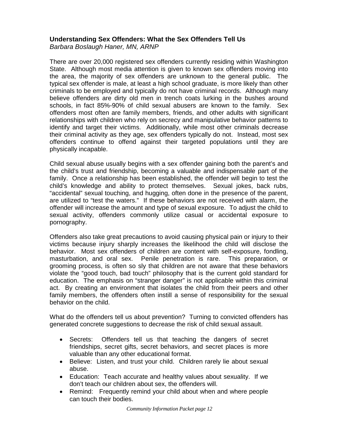## **Understanding Sex Offenders: What the Sex Offenders Tell Us**

*Barbara Boslaugh Haner, MN, ARNP*

There are over 20,000 registered sex offenders currently residing within Washington State. Although most media attention is given to known sex offenders moving into the area, the majority of sex offenders are unknown to the general public. The typical sex offender is male, at least a high school graduate, is more likely than other criminals to be employed and typically do not have criminal records. Although many believe offenders are dirty old men in trench coats lurking in the bushes around schools, in fact 85%-90% of child sexual abusers are known to the family. Sex offenders most often are family members, friends, and other adults with significant relationships with children who rely on secrecy and manipulative behavior patterns to identify and target their victims. Additionally, while most other criminals decrease their criminal activity as they age, sex offenders typically do not. Instead, most sex offenders continue to offend against their targeted populations until they are physically incapable.

Child sexual abuse usually begins with a sex offender gaining both the parent's and the child's trust and friendship, becoming a valuable and indispensable part of the family. Once a relationship has been established, the offender will begin to test the child's knowledge and ability to protect themselves. Sexual jokes, back rubs, "accidental" sexual touching, and hugging, often done in the presence of the parent, are utilized to "test the waters." If these behaviors are not received with alarm, the offender will increase the amount and type of sexual exposure. To adjust the child to sexual activity, offenders commonly utilize casual or accidental exposure to pornography.

Offenders also take great precautions to avoid causing physical pain or injury to their victims because injury sharply increases the likelihood the child will disclose the behavior. Most sex offenders of children are content with self-exposure, fondling, masturbation, and oral sex. Penile penetration is rare. This preparation, or grooming process, is often so sly that children are not aware that these behaviors violate the "good touch, bad touch" philosophy that is the current gold standard for education. The emphasis on "stranger danger" is not applicable within this criminal act. By creating an environment that isolates the child from their peers and other family members, the offenders often instill a sense of responsibility for the sexual behavior on the child.

What do the offenders tell us about prevention? Turning to convicted offenders has generated concrete suggestions to decrease the risk of child sexual assault.

- Secrets: Offenders tell us that teaching the dangers of secret friendships, secret gifts, secret behaviors, and secret places is more valuable than any other educational format.
- Believe: Listen, and trust your child. Children rarely lie about sexual abuse.
- Education: Teach accurate and healthy values about sexuality. If we don't teach our children about sex, the offenders will.
- Remind: Frequently remind your child about when and where people can touch their bodies.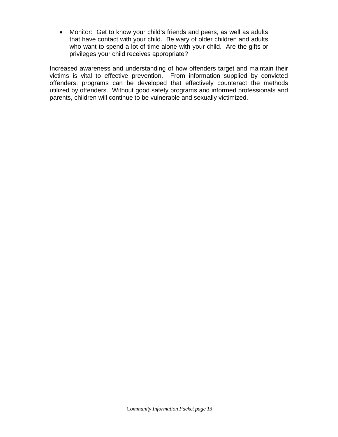• Monitor: Get to know your child's friends and peers, as well as adults that have contact with your child. Be wary of older children and adults who want to spend a lot of time alone with your child. Are the gifts or privileges your child receives appropriate?

Increased awareness and understanding of how offenders target and maintain their victims is vital to effective prevention. From information supplied by convicted offenders, programs can be developed that effectively counteract the methods utilized by offenders. Without good safety programs and informed professionals and parents, children will continue to be vulnerable and sexually victimized.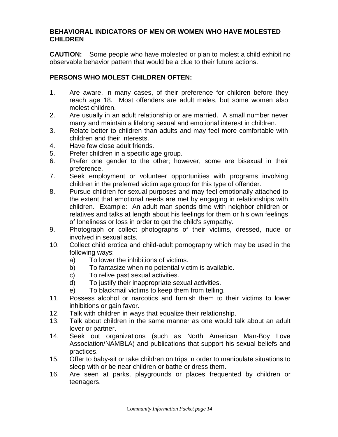#### **BEHAVIORAL INDICATORS OF MEN OR WOMEN WHO HAVE MOLESTED CHILDREN**

**CAUTION:** Some people who have molested or plan to molest a child exhibit no observable behavior pattern that would be a clue to their future actions.

## **PERSONS WHO MOLEST CHILDREN OFTEN:**

- 1. Are aware, in many cases, of their preference for children before they reach age 18. Most offenders are adult males, but some women also molest children.
- 2. Are usually in an adult relationship or are married. A small number never marry and maintain a lifelong sexual and emotional interest in children.
- 3. Relate better to children than adults and may feel more comfortable with children and their interests.
- 4. Have few close adult friends.
- 5. Prefer children in a specific age group.
- 6. Prefer one gender to the other; however, some are bisexual in their preference.
- 7. Seek employment or volunteer opportunities with programs involving children in the preferred victim age group for this type of offender.
- 8. Pursue children for sexual purposes and may feel emotionally attached to the extent that emotional needs are met by engaging in relationships with children. Example: An adult man spends time with neighbor children or relatives and talks at length about his feelings for them or his own feelings of loneliness or loss in order to get the child's sympathy.
- 9. Photograph or collect photographs of their victims, dressed, nude or involved in sexual acts.
- 10. Collect child erotica and child-adult pornography which may be used in the following ways:
	- a) To lower the inhibitions of victims.
	- b) To fantasize when no potential victim is available.
	- c) To relive past sexual activities.
	- d) To justify their inappropriate sexual activities.
	- e) To blackmail victims to keep them from telling.
- 11. Possess alcohol or narcotics and furnish them to their victims to lower inhibitions or gain favor.
- 12. Talk with children in ways that equalize their relationship.
- 13. Talk about children in the same manner as one would talk about an adult lover or partner.
- 14. Seek out organizations (such as North American Man-Boy Love Association/NAMBLA) and publications that support his sexual beliefs and practices.
- 15. Offer to baby-sit or take children on trips in order to manipulate situations to sleep with or be near children or bathe or dress them.
- 16. Are seen at parks, playgrounds or places frequented by children or teenagers.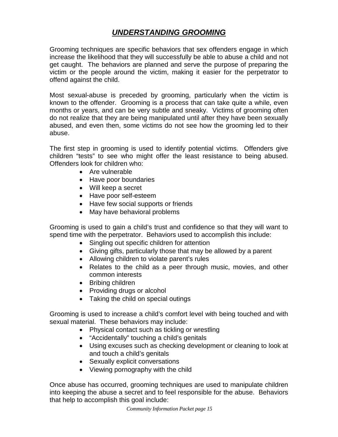# *UNDERSTANDING GROOMING*

Grooming techniques are specific behaviors that sex offenders engage in which increase the likelihood that they will successfully be able to abuse a child and not get caught. The behaviors are planned and serve the purpose of preparing the victim or the people around the victim, making it easier for the perpetrator to offend against the child.

Most sexual-abuse is preceded by grooming, particularly when the victim is known to the offender. Grooming is a process that can take quite a while, even months or years, and can be very subtle and sneaky. Victims of grooming often do not realize that they are being manipulated until after they have been sexually abused, and even then, some victims do not see how the grooming led to their abuse.

The first step in grooming is used to identify potential victims. Offenders give children "tests" to see who might offer the least resistance to being abused. Offenders look for children who:

- Are vulnerable
- Have poor boundaries
- Will keep a secret
- Have poor self-esteem
- Have few social supports or friends
- May have behavioral problems

Grooming is used to gain a child's trust and confidence so that they will want to spend time with the perpetrator. Behaviors used to accomplish this include:

- Singling out specific children for attention
- Giving gifts, particularly those that may be allowed by a parent
- Allowing children to violate parent's rules
- Relates to the child as a peer through music, movies, and other common interests
- Bribing children
- Providing drugs or alcohol
- Taking the child on special outings

Grooming is used to increase a child's comfort level with being touched and with sexual material. These behaviors may include:

- Physical contact such as tickling or wrestling
- "Accidentally" touching a child's genitals
- Using excuses such as checking development or cleaning to look at and touch a child's genitals
- Sexually explicit conversations
- Viewing pornography with the child

Once abuse has occurred, grooming techniques are used to manipulate children into keeping the abuse a secret and to feel responsible for the abuse. Behaviors that help to accomplish this goal include: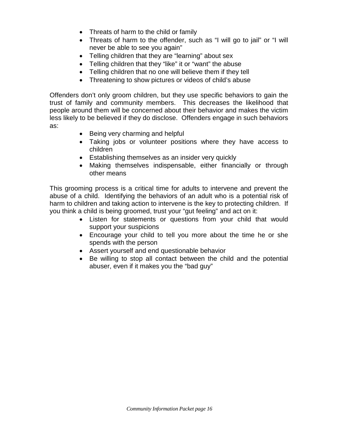- Threats of harm to the child or family
- Threats of harm to the offender, such as "I will go to jail" or "I will never be able to see you again"
- Telling children that they are "learning" about sex
- Telling children that they "like" it or "want" the abuse
- Telling children that no one will believe them if they tell
- Threatening to show pictures or videos of child's abuse

Offenders don't only groom children, but they use specific behaviors to gain the trust of family and community members. This decreases the likelihood that people around them will be concerned about their behavior and makes the victim less likely to be believed if they do disclose. Offenders engage in such behaviors as:

- Being very charming and helpful
- Taking jobs or volunteer positions where they have access to children
- Establishing themselves as an insider very quickly
- Making themselves indispensable, either financially or through other means

This grooming process is a critical time for adults to intervene and prevent the abuse of a child. Identifying the behaviors of an adult who is a potential risk of harm to children and taking action to intervene is the key to protecting children. If you think a child is being groomed, trust your "gut feeling" and act on it:

- Listen for statements or questions from your child that would support your suspicions
- Encourage your child to tell you more about the time he or she spends with the person
- Assert yourself and end questionable behavior
- Be willing to stop all contact between the child and the potential abuser, even if it makes you the "bad guy"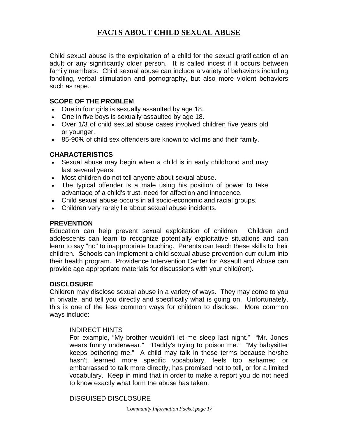# **FACTS ABOUT CHILD SEXUAL ABUSE**

Child sexual abuse is the exploitation of a child for the sexual gratification of an adult or any significantly older person. It is called incest if it occurs between family members. Child sexual abuse can include a variety of behaviors including fondling, verbal stimulation and pornography, but also more violent behaviors such as rape.

### **SCOPE OF THE PROBLEM**

- One in four girls is sexually assaulted by age 18.
- One in five boys is sexually assaulted by age 18.
- Over 1/3 of child sexual abuse cases involved children five years old or younger.
- 85-90% of child sex offenders are known to victims and their family.

#### **CHARACTERISTICS**

- Sexual abuse may begin when a child is in early childhood and may last several years.
- Most children do not tell anyone about sexual abuse.
- The typical offender is a male using his position of power to take advantage of a child's trust, need for affection and innocence.
- Child sexual abuse occurs in all socio-economic and racial groups.
- Children very rarely lie about sexual abuse incidents.

#### **PREVENTION**

Education can help prevent sexual exploitation of children. Children and adolescents can learn to recognize potentially exploitative situations and can learn to say "no" to inappropriate touching. Parents can teach these skills to their children. Schools can implement a child sexual abuse prevention curriculum into their health program. Providence Intervention Center for Assault and Abuse can provide age appropriate materials for discussions with your child(ren).

#### **DISCLOSURE**

Children may disclose sexual abuse in a variety of ways. They may come to you in private, and tell you directly and specifically what is going on. Unfortunately, this is one of the less common ways for children to disclose. More common ways include:

#### INDIRECT HINTS

For example, "My brother wouldn't let me sleep last night." "Mr. Jones wears funny underwear." "Daddy's trying to poison me." "My babysitter keeps bothering me." A child may talk in these terms because he/she hasn't learned more specific vocabulary, feels too ashamed or embarrassed to talk more directly, has promised not to tell, or for a limited vocabulary. Keep in mind that in order to make a report you do not need to know exactly what form the abuse has taken.

#### DISGUISED DISCLOSURE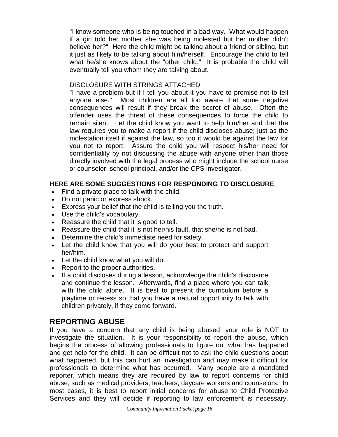"I know someone who is being touched in a bad way. What would happen if a girl told her mother she was being molested but her mother didn't believe her?" Here the child might be talking about a friend or sibling, but it just as likely to be talking about him/herself. Encourage the child to tell what he/she knows about the "other child." It is probable the child will eventually tell you whom they are talking about.

#### DISCLOSURE WITH STRINGS ATTACHED

"I have a problem but if I tell you about it you have to promise not to tell anyone else." Most children are all too aware that some negative consequences will result if they break the secret of abuse. Often the offender uses the threat of these consequences to force the child to remain silent. Let the child know you want to help him/her and that the law requires you to make a report if the child discloses abuse; just as the molestation itself if against the law, so too it would be against the law for you not to report. Assure the child you will respect his/her need for confidentiality by not discussing the abuse with anyone other than those directly involved with the legal process who might include the school nurse or counselor, school principal, and/or the CPS investigator.

#### **HERE ARE SOME SUGGESTIONS FOR RESPONDING TO DISCLOSURE**

- Find a private place to talk with the child.
- Do not panic or express shock.
- Express your belief that the child is telling you the truth.
- Use the child's vocabulary.
- Reassure the child that it is good to tell.
- Reassure the child that it is not her/his fault, that she/he is not bad.
- Determine the child's immediate need for safety.
- Let the child know that you will do your best to protect and support her/him.
- Let the child know what you will do.
- Report to the proper authorities.
- If a child discloses during a lesson, acknowledge the child's disclosure and continue the lesson. Afterwards, find a place where you can talk with the child alone. It is best to present the curriculum before a playtime or recess so that you have a natural opportunity to talk with children privately, if they come forward.

# **REPORTING ABUSE**

If you have a concern that any child is being abused, your role is NOT to investigate the situation. It is your responsibility to report the abuse, which begins the process of allowing professionals to figure out what has happened and get help for the child. It can be difficult not to ask the child questions about what happened, but this can hurt an investigation and may make it difficult for professionals to determine what has occurred. Many people are a mandated reporter, which means they are required by law to report concerns for child abuse, such as medical providers, teachers, daycare workers and counselors. In most cases, it is best to report initial concerns for abuse to Child Protective Services and they will decide if reporting to law enforcement is necessary.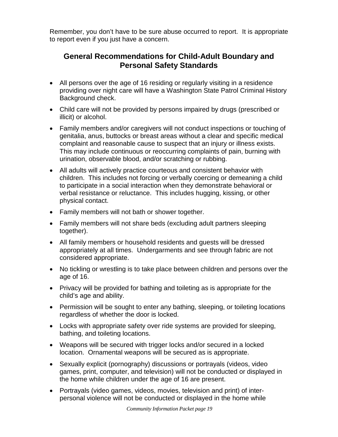Remember, you don't have to be sure abuse occurred to report. It is appropriate to report even if you just have a concern.

# **General Recommendations for Child-Adult Boundary and Personal Safety Standards**

- All persons over the age of 16 residing or regularly visiting in a residence providing over night care will have a Washington State Patrol Criminal History Background check.
- Child care will not be provided by persons impaired by drugs (prescribed or illicit) or alcohol.
- Family members and/or caregivers will not conduct inspections or touching of genitalia, anus, buttocks or breast areas without a clear and specific medical complaint and reasonable cause to suspect that an injury or illness exists. This may include continuous or reoccurring complaints of pain, burning with urination, observable blood, and/or scratching or rubbing.
- All adults will actively practice courteous and consistent behavior with children. This includes not forcing or verbally coercing or demeaning a child to participate in a social interaction when they demonstrate behavioral or verbal resistance or reluctance. This includes hugging, kissing, or other physical contact.
- Family members will not bath or shower together.
- Family members will not share beds (excluding adult partners sleeping together).
- All family members or household residents and guests will be dressed appropriately at all times. Undergarments and see through fabric are not considered appropriate.
- No tickling or wrestling is to take place between children and persons over the age of 16.
- Privacy will be provided for bathing and toileting as is appropriate for the child's age and ability.
- Permission will be sought to enter any bathing, sleeping, or toileting locations regardless of whether the door is locked.
- Locks with appropriate safety over ride systems are provided for sleeping, bathing, and toileting locations.
- Weapons will be secured with trigger locks and/or secured in a locked location. Ornamental weapons will be secured as is appropriate.
- Sexually explicit (pornography) discussions or portrayals (videos, video games, print, computer, and television) will not be conducted or displayed in the home while children under the age of 16 are present.
- Portrayals (video games, videos, movies, television and print) of interpersonal violence will not be conducted or displayed in the home while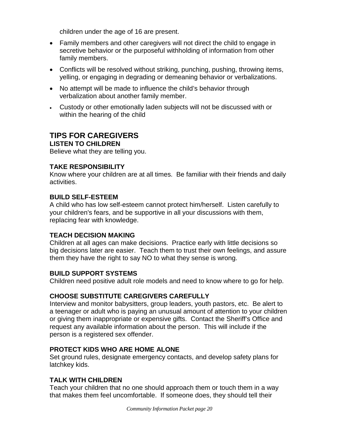children under the age of 16 are present.

- Family members and other caregivers will not direct the child to engage in secretive behavior or the purposeful withholding of information from other family members.
- Conflicts will be resolved without striking, punching, pushing, throwing items, yelling, or engaging in degrading or demeaning behavior or verbalizations.
- No attempt will be made to influence the child's behavior through verbalization about another family member.
- Custody or other emotionally laden subjects will not be discussed with or within the hearing of the child

# **TIPS FOR CAREGIVERS**

**LISTEN TO CHILDREN** 

Believe what they are telling you.

### **TAKE RESPONSIBILITY**

Know where your children are at all times. Be familiar with their friends and daily activities.

### **BUILD SELF-ESTEEM**

A child who has low self-esteem cannot protect him/herself. Listen carefully to your children's fears, and be supportive in all your discussions with them, replacing fear with knowledge.

#### **TEACH DECISION MAKING**

Children at all ages can make decisions. Practice early with little decisions so big decisions later are easier. Teach them to trust their own feelings, and assure them they have the right to say NO to what they sense is wrong.

#### **BUILD SUPPORT SYSTEMS**

Children need positive adult role models and need to know where to go for help.

### **CHOOSE SUBSTITUTE CAREGIVERS CAREFULLY**

Interview and monitor babysitters, group leaders, youth pastors, etc. Be alert to a teenager or adult who is paying an unusual amount of attention to your children or giving them inappropriate or expensive gifts. Contact the Sheriff's Office and request any available information about the person. This will include if the person is a registered sex offender.

#### **PROTECT KIDS WHO ARE HOME ALONE**

Set ground rules, designate emergency contacts, and develop safety plans for latchkey kids.

# **TALK WITH CHILDREN**

Teach your children that no one should approach them or touch them in a way that makes them feel uncomfortable. If someone does, they should tell their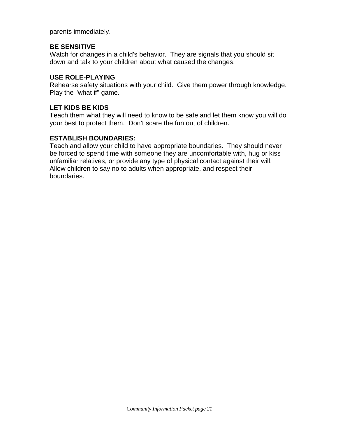parents immediately.

#### **BE SENSITIVE**

Watch for changes in a child's behavior. They are signals that you should sit down and talk to your children about what caused the changes.

#### **USE ROLE-PLAYING**

Rehearse safety situations with your child. Give them power through knowledge. Play the "what if" game.

## **LET KIDS BE KIDS**

Teach them what they will need to know to be safe and let them know you will do your best to protect them. Don't scare the fun out of children.

#### **ESTABLISH BOUNDARIES:**

Teach and allow your child to have appropriate boundaries. They should never be forced to spend time with someone they are uncomfortable with, hug or kiss unfamiliar relatives, or provide any type of physical contact against their will. Allow children to say no to adults when appropriate, and respect their boundaries.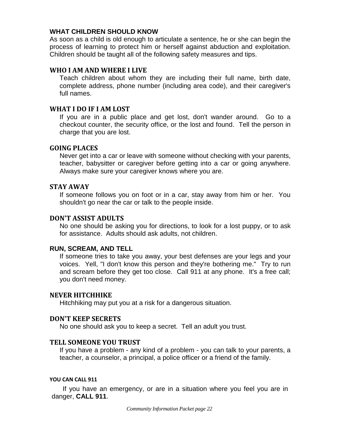#### **WHAT CHILDREN SHOULD KNOW**

As soon as a child is old enough to articulate a sentence, he or she can begin the process of learning to protect him or herself against abduction and exploitation. Children should be taught all of the following safety measures and tips.

#### **WHO I AM AND WHERE I LIVE**

Teach children about whom they are including their full name, birth date, complete address, phone number (including area code), and their caregiver's full names.

#### **WHAT I DO IF I AM LOST**

If you are in a public place and get lost, don't wander around. Go to a checkout counter, the security office, or the lost and found. Tell the person in charge that you are lost.

#### **GOING PLACES**

Never get into a car or leave with someone without checking with your parents, teacher, babysitter or caregiver before getting into a car or going anywhere. Always make sure your caregiver knows where you are.

#### **STAY AWAY**

If someone follows you on foot or in a car, stay away from him or her. You shouldn't go near the car or talk to the people inside.

#### **DON'T ASSIST ADULTS**

No one should be asking you for directions, to look for a lost puppy, or to ask for assistance. Adults should ask adults, not children.

#### **RUN, SCREAM, AND TELL**

If someone tries to take you away, your best defenses are your legs and your voices. Yell, "I don't know this person and they're bothering me." Try to run and scream before they get too close. Call 911 at any phone. It's a free call; you don't need money.

#### **NEVER HITCHHIKE**

Hitchhiking may put you at a risk for a dangerous situation.

#### **DON'T KEEP SECRETS**

No one should ask you to keep a secret. Tell an adult you trust.

#### **TELL SOMEONE YOU TRUST**

If you have a problem - any kind of a problem - you can talk to your parents, a teacher, a counselor, a principal, a police officer or a friend of the family.

#### **YOU CAN CALL 911**

 If you have an emergency, or are in a situation where you feel you are in danger, **CALL 911**.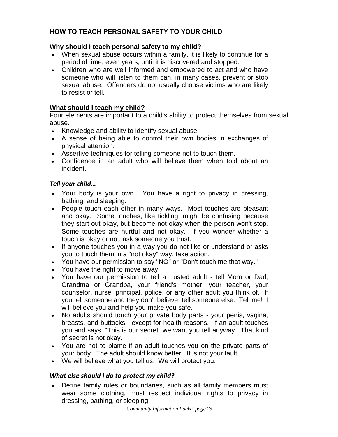# **HOW TO TEACH PERSONAL SAFETY TO YOUR CHILD**

### **Why should I teach personal safety to my child?**

- When sexual abuse occurs within a family, it is likely to continue for a period of time, even years, until it is discovered and stopped.
- Children who are well informed and empowered to act and who have someone who will listen to them can, in many cases, prevent or stop sexual abuse. Offenders do not usually choose victims who are likely to resist or tell.

#### **What should I teach my child?**

Four elements are important to a child's ability to protect themselves from sexual abuse.

- Knowledge and ability to identify sexual abuse.
- A sense of being able to control their own bodies in exchanges of physical attention.
- Assertive techniques for telling someone not to touch them.
- Confidence in an adult who will believe them when told about an incident.

#### *Tell your child…*

- Your body is your own. You have a right to privacy in dressing, bathing, and sleeping.
- People touch each other in many ways. Most touches are pleasant and okay. Some touches, like tickling, might be confusing because they start out okay, but become not okay when the person won't stop. Some touches are hurtful and not okay. If you wonder whether a touch is okay or not, ask someone you trust.
- If anyone touches you in a way you do not like or understand or asks you to touch them in a "not okay" way, take action.
- You have our permission to say "NO" or "Don't touch me that way."
- You have the right to move away.
- You have our permission to tell a trusted adult tell Mom or Dad, Grandma or Grandpa, your friend's mother, your teacher, your counselor, nurse, principal, police, or any other adult you think of. If you tell someone and they don't believe, tell someone else. Tell me! I will believe you and help you make you safe.
- No adults should touch your private body parts your penis, vagina, breasts, and buttocks - except for health reasons. If an adult touches you and says, "This is our secret" we want you tell anyway. That kind of secret is not okay.
- You are not to blame if an adult touches you on the private parts of your body. The adult should know better. It is not your fault.
- We will believe what you tell us. We will protect you.

#### *What else should I do to protect my child?*

• Define family rules or boundaries, such as all family members must wear some clothing, must respect individual rights to privacy in dressing, bathing, or sleeping.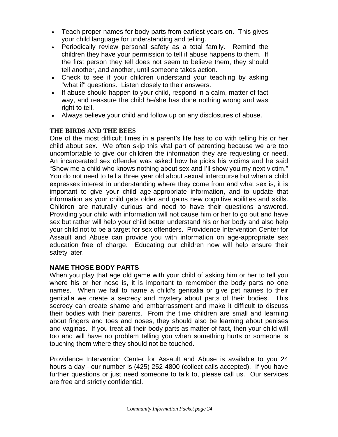- Teach proper names for body parts from earliest years on. This gives your child language for understanding and telling.
- Periodically review personal safety as a total family. Remind the children they have your permission to tell if abuse happens to them. If the first person they tell does not seem to believe them, they should tell another, and another, until someone takes action.
- Check to see if your children understand your teaching by asking "what if" questions. Listen closely to their answers.
- If abuse should happen to your child, respond in a calm, matter-of-fact way, and reassure the child he/she has done nothing wrong and was right to tell.
- Always believe your child and follow up on any disclosures of abuse.

### **THE BIRDS AND THE BEES**

One of the most difficult times in a parent's life has to do with telling his or her child about sex. We often skip this vital part of parenting because we are too uncomfortable to give our children the information they are requesting or need. An incarcerated sex offender was asked how he picks his victims and he said "Show me a child who knows nothing about sex and I'll show you my next victim." You do not need to tell a three year old about sexual intercourse but when a child expresses interest in understanding where they come from and what sex is, it is important to give your child age-appropriate information, and to update that information as your child gets older and gains new cognitive abilities and skills. Children are naturally curious and need to have their questions answered. Providing your child with information will not cause him or her to go out and have sex but rather will help your child better understand his or her body and also help your child not to be a target for sex offenders. Providence Intervention Center for Assault and Abuse can provide you with information on age-appropriate sex education free of charge. Educating our children now will help ensure their safety later.

### **NAME THOSE BODY PARTS**

When you play that age old game with your child of asking him or her to tell you where his or her nose is, it is important to remember the body parts no one names. When we fail to name a child's genitalia or give pet names to their genitalia we create a secrecy and mystery about parts of their bodies. This secrecy can create shame and embarrassment and make it difficult to discuss their bodies with their parents. From the time children are small and learning about fingers and toes and noses, they should also be learning about penises and vaginas. If you treat all their body parts as matter-of-fact, then your child will too and will have no problem telling you when something hurts or someone is touching them where they should not be touched.

Providence Intervention Center for Assault and Abuse is available to you 24 hours a day - our number is (425) 252-4800 (collect calls accepted). If you have further questions or just need someone to talk to, please call us. Our services are free and strictly confidential.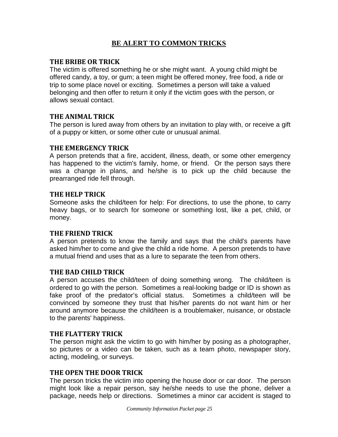# **BE ALERT TO COMMON TRICKS**

### **THE BRIBE OR TRICK**

The victim is offered something he or she might want. A young child might be offered candy, a toy, or gum; a teen might be offered money, free food, a ride or trip to some place novel or exciting. Sometimes a person will take a valued belonging and then offer to return it only if the victim goes with the person, or allows sexual contact.

#### **THE ANIMAL TRICK**

The person is lured away from others by an invitation to play with, or receive a gift of a puppy or kitten, or some other cute or unusual animal.

#### **THE EMERGENCY TRICK**

A person pretends that a fire, accident, illness, death, or some other emergency has happened to the victim's family, home, or friend. Or the person says there was a change in plans, and he/she is to pick up the child because the prearranged ride fell through.

#### **THE HELP TRICK**

Someone asks the child/teen for help: For directions, to use the phone, to carry heavy bags, or to search for someone or something lost, like a pet, child, or money.

#### **THE FRIEND TRICK**

A person pretends to know the family and says that the child's parents have asked him/her to come and give the child a ride home. A person pretends to have a mutual friend and uses that as a lure to separate the teen from others.

#### **THE BAD CHILD TRICK**

A person accuses the child/teen of doing something wrong. The child/teen is ordered to go with the person. Sometimes a real-looking badge or ID is shown as fake proof of the predator's official status. Sometimes a child/teen will be convinced by someone they trust that his/her parents do not want him or her around anymore because the child/teen is a troublemaker, nuisance, or obstacle to the parents' happiness.

#### **THE FLATTERY TRICK**

The person might ask the victim to go with him/her by posing as a photographer, so pictures or a video can be taken, such as a team photo, newspaper story, acting, modeling, or surveys.

#### **THE OPEN THE DOOR TRICK**

The person tricks the victim into opening the house door or car door. The person might look like a repair person, say he/she needs to use the phone, deliver a package, needs help or directions. Sometimes a minor car accident is staged to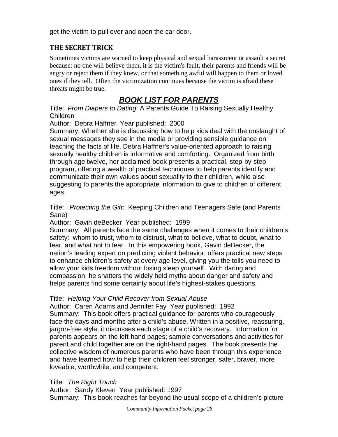get the victim to pull over and open the car door.

## **THE SECRET TRICK**

Sometimes victims are warned to keep physical and sexual harassment or assault a secret because: no one will believe them, it is the victim's fault, their parents and friends will be angry or reject them if they knew, or that something awful will happen to them or loved ones if they tell. Often the victimization continues because the victim is afraid these threats might be true.

# *BOOK LIST FOR PARENTS*

Title: *From Diapers to Dating*: A Parents Guide To Raising Sexually Healthy Children

Author: Debra Haffner Year published: 2000

Summary: Whether she is discussing how to help kids deal with the onslaught of sexual messages they see in the media or providing sensible guidance on teaching the facts of life, Debra Haffner's value-oriented approach to raising sexually healthy children is informative and comforting. Organized from birth through age twelve, her acclaimed book presents a practical, step-by-step program, offering a wealth of practical techniques to help parents identify and communicate their own values about sexuality to their children, while also suggesting to parents the appropriate information to give to children of different ages.

Title: *Protecting the Gift*: Keeping Children and Teenagers Safe (and Parents Sane)

Author: Gavin deBecker Year published: 1999

Summary: All parents face the same challenges when it comes to their children's safety: whom to trust, whom to distrust, what to believe, what to doubt, what to fear, and what not to fear. In this empowering book, Gavin deBecker, the nation's leading expert on predicting violent behavior, offers practical new steps to enhance children's safety at every age level, giving you the tolls you need to allow your kids freedom without losing sleep yourself. With daring and compassion, he shatters the widely held myths about danger and safety and helps parents find some certainty about life's highest-stakes questions.

#### Title: *Helping Your Child Recover from Sexual Abuse*

Author: Caren Adams and Jennifer Fay Year published: 1992 Summary: This book offers practical guidance for parents who courageously face the days and months after a child's abuse. Written in a positive, reassuring, jargon-free style, it discusses each stage of a child's recovery. Information for parents appears on the left-hand pages; sample conversations and activities for parent and child together are on the right-hand pages. The book presents the collective wisdom of numerous parents who have been through this experience and have learned how to help their children feel stronger, safer, braver, more loveable, worthwhile, and competent.

#### Title: *The Right Touch*

Author: Sandy Kleven Year published: 1997 Summary: This book reaches far beyond the usual scope of a children's picture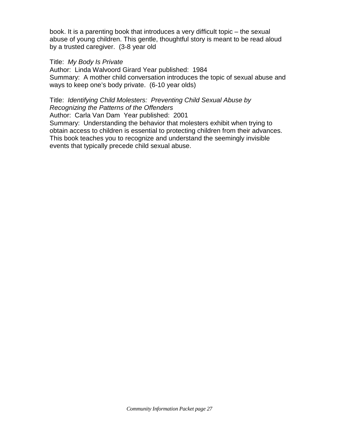book. It is a parenting book that introduces a very difficult topic – the sexual abuse of young children. This gentle, thoughtful story is meant to be read aloud by a trusted caregiver. (3-8 year old

#### Title: *My Body Is Private*

Author: Linda Walvoord Girard Year published: 1984 Summary: A mother child conversation introduces the topic of sexual abuse and ways to keep one's body private. (6-10 year olds)

Title: *Identifying Child Molesters: Preventing Child Sexual Abuse by Recognizing the Patterns of the Offenders*

Author: Carla Van Dam Year published: 2001

Summary: Understanding the behavior that molesters exhibit when trying to obtain access to children is essential to protecting children from their advances. This book teaches you to recognize and understand the seemingly invisible events that typically precede child sexual abuse.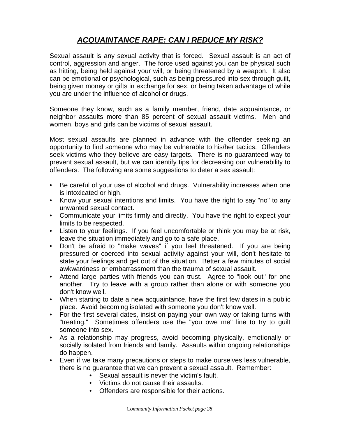# *ACQUAINTANCE RAPE: CAN I REDUCE MY RISK?*

Sexual assault is any sexual activity that is forced. Sexual assault is an act of control, aggression and anger. The force used against you can be physical such as hitting, being held against your will, or being threatened by a weapon. It also can be emotional or psychological, such as being pressured into sex through guilt, being given money or gifts in exchange for sex, or being taken advantage of while you are under the influence of alcohol or drugs.

Someone they know, such as a family member, friend, date acquaintance, or neighbor assaults more than 85 percent of sexual assault victims. Men and women, boys and girls can be victims of sexual assault.

Most sexual assaults are planned in advance with the offender seeking an opportunity to find someone who may be vulnerable to his/her tactics. Offenders seek victims who they believe are easy targets. There is no guaranteed way to prevent sexual assault, but we can identify tips for decreasing our vulnerability to offenders. The following are some suggestions to deter a sex assault:

- Be careful of your use of alcohol and drugs. Vulnerability increases when one is intoxicated or high.
- Know your sexual intentions and limits. You have the right to say "no" to any unwanted sexual contact.
- Communicate your limits firmly and directly. You have the right to expect your limits to be respected.
- Listen to your feelings. If you feel uncomfortable or think you may be at risk, leave the situation immediately and go to a safe place.
- Don't be afraid to "make waves" if you feel threatened. If you are being pressured or coerced into sexual activity against your will, don't hesitate to state your feelings and get out of the situation. Better a few minutes of social awkwardness or embarrassment than the trauma of sexual assault.
- Attend large parties with friends you can trust. Agree to "look out" for one another. Try to leave with a group rather than alone or with someone you don't know well.
- When starting to date a new acquaintance, have the first few dates in a public place. Avoid becoming isolated with someone you don't know well.
- For the first several dates, insist on paying your own way or taking turns with "treating." Sometimes offenders use the "you owe me" line to try to guilt someone into sex.
- As a relationship may progress, avoid becoming physically, emotionally or socially isolated from friends and family. Assaults within ongoing relationships do happen.
- Even if we take many precautions or steps to make ourselves less vulnerable, there is no guarantee that we can prevent a sexual assault. Remember:
	- Sexual assault is never the victim's fault.
	- Victims do not cause their assaults.
	- Offenders are responsible for their actions.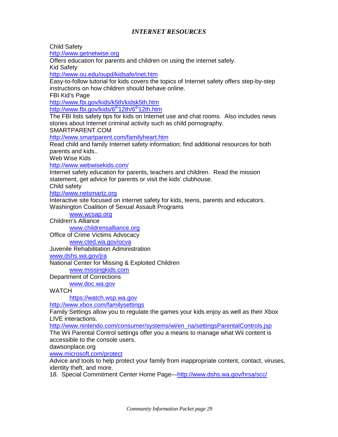#### *INTERNET RESOURCES*

Child Safety

[http://www.getnetwise.org](http://www.getnetwise.org/)

Offers education for parents and children on using the internet safely.

Kid Safety

<http://www.ou.edu/oupd/kidsafe/inet.htm>

Easy-to-follow tutorial for kids covers the topics of Internet safety offers step-by-step instructions on how children should behave online.

FBI Kid's Page

<http://www.fbi.gov/kids/k5th/kidsk5th.htm>

http://www.fbi.gov/kids/6<sup>th</sup>12th/6<sup>th</sup>12th.htm

The FBI lists safety tips for kids on Internet use and chat rooms. Also includes news stories about Internet criminal activity such as child pornography.

SMARTPARENT.COM

<http://www.smartparent.com/familyheart.htm>

Read child and family Internet safety information; find additional resources for both parents and kids..

Web Wise Kids

<http://www.webwisekids.com/>

Internet safety education for parents, teachers and children. Read the mission statement, get advice for parents or visit the kids' clubhouse.

Child safety

[http://www.netsmartz.org](http://www.netsmartz.org/)

Interactive site focused on internet safety for kids, teens, parents and educators. Washington Coalition of Sexual Assault Programs

[www.wcsap.org](http://www.wcsap.org/)

Children's Alliance

[www.childrensalliance.org](http://www.childrensalliance.org/)

Office of Crime Victims Advocacy

[www.cted.wa.gov/ocva](http://www.cted.wa.gov/ocva)

Juvenile Rehabilitation Administration

[www.dshs.wa.gov/jra](http://www.dshs.wa.gov/jra)

National Center for Missing & Exploited Children

[www.missingkids.com](http://www.missingkids.org/)

Department of Corrections

[www.doc.wa.gov](http://www.doc.wa.gov/)

**WATCH** 

[https://watch.wsp.wa.gov](http://www.watch.wsp.wa.gov/)

<http://www.xbox.com/familysettings>

Family Settings allow you to regulate the games your kids enjoy as well as their Xbox LIVE interactions.

[http://www.nintendo.com/consumer/systems/wi/en\\_na/settingsParentalControls.jsp](http://www.nintendo.com/consumer/systems/wi/en_na/settingsParentalControls.jsp)

The Wii Parental Control settings offer you a means to manage what Wii content is accessible to the console users.

dawsonplace.org

[www.microsoft.com/protect](http://www.microsoft.com/protect)

Advice and tools to help protect your family from inappropriate content, contact, viruses, identity theft, and more.

18. Special Commitment Center Home Page—http://www.dshs.wa.gov/hrsa/scc/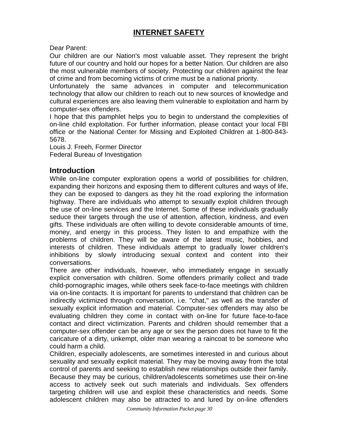Dear Parent:

Our children are our Nation's most valuable asset. They represent the bright future of our country and hold our hopes for a better Nation. Our children are also the most vulnerable members of society. Protecting our children against the fear of crime and from becoming victims of crime must be a national priority.

Unfortunately the same advances in computer and telecommunication technology that allow our children to reach out to new sources of knowledge and cultural experiences are also leaving them vulnerable to exploitation and harm by computer-sex offenders.

I hope that this pamphlet helps you to begin to understand the complexities of on-line child exploitation. For further information, please contact your local FBI office or the National Center for Missing and Exploited Children at 1-800-843- 5678.

Louis J. Freeh, Former Director Federal Bureau of Investigation

# **Introduction**

While on-line computer exploration opens a world of possibilities for children, expanding their horizons and exposing them to different cultures and ways of life, they can be exposed to dangers as they hit the road exploring the information highway. There are individuals who attempt to sexually exploit children through the use of on-line services and the Internet. Some of these individuals gradually seduce their targets through the use of attention, affection, kindness, and even gifts. These individuals are often willing to devote considerable amounts of time, money, and energy in this process. They listen to and empathize with the problems of children. They will be aware of the latest music, hobbies, and interests of children. These individuals attempt to gradually lower children's inhibitions by slowly introducing sexual context and content into their conversations.

There are other individuals, however, who immediately engage in sexually explicit conversation with children. Some offenders primarily collect and trade child-pornographic images, while others seek face-to-face meetings with children via on-line contacts. It is important for parents to understand that children can be indirectly victimized through conversation, i.e. "chat," as well as the transfer of sexually explicit information and material. Computer-sex offenders may also be evaluating children they come in contact with on-line for future face-to-face contact and direct victimization. Parents and children should remember that a computer-sex offender can be any age or sex the person does not have to fit the caricature of a dirty, unkempt, older man wearing a raincoat to be someone who could harm a child.

Children, especially adolescents, are sometimes interested in and curious about sexuality and sexually explicit material. They may be moving away from the total control of parents and seeking to establish new relationships outside their family. Because they may be curious, children/adolescents sometimes use their on-line access to actively seek out such materials and individuals. Sex offenders targeting children will use and exploit these characteristics and needs. Some adolescent children may also be attracted to and lured by on-line offenders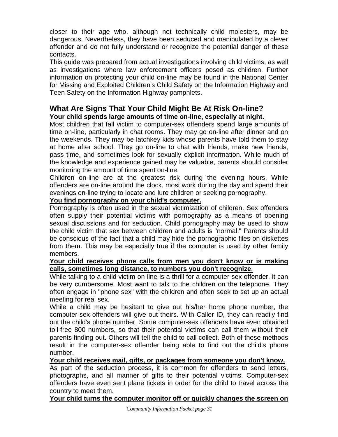closer to their age who, although not technically child molesters, may be dangerous. Nevertheless, they have been seduced and manipulated by a clever offender and do not fully understand or recognize the potential danger of these contacts.

This guide was prepared from actual investigations involving child victims, as well as investigations where law enforcement officers posed as children. Further information on protecting your child on-line may be found in the National Center for Missing and Exploited Children's Child Safety on the Information Highway and Teen Safety on the Information Highway pamphlets.

# **What Are Signs That Your Child Might Be At Risk On-line? Your child spends large amounts of time on-line, especially at night.**

Most children that fall victim to computer-sex offenders spend large amounts of time on-line, particularly in chat rooms. They may go on-line after dinner and on the weekends. They may be latchkey kids whose parents have told them to stay at home after school. They go on-line to chat with friends, make new friends, pass time, and sometimes look for sexually explicit information. While much of the knowledge and experience gained may be valuable, parents should consider monitoring the amount of time spent on-line.

Children on-line are at the greatest risk during the evening hours. While offenders are on-line around the clock, most work during the day and spend their evenings on-line trying to locate and lure children or seeking pornography.

### **You find pornography on your child's computer.**

Pornography is often used in the sexual victimization of children. Sex offenders often supply their potential victims with pornography as a means of opening sexual discussions and for seduction. Child pornography may be used to show the child victim that sex between children and adults is "normal." Parents should be conscious of the fact that a child may hide the pornographic files on diskettes from them. This may be especially true if the computer is used by other family members.

#### **Your child receives phone calls from men you don't know or is making calls, sometimes long distance, to numbers you don't recognize**.

While talking to a child victim on-line is a thrill for a computer-sex offender, it can be very cumbersome. Most want to talk to the children on the telephone. They often engage in "phone sex" with the children and often seek to set up an actual meeting for real sex.

While a child may be hesitant to give out his/her home phone number, the computer-sex offenders will give out theirs. With Caller ID, they can readily find out the child's phone number. Some computer-sex offenders have even obtained toll-free 800 numbers, so that their potential victims can call them without their parents finding out. Others will tell the child to call collect. Both of these methods result in the computer-sex offender being able to find out the child's phone number.

### **Your child receives mail, gifts, or packages from someone you don't know.**

As part of the seduction process, it is common for offenders to send letters, photographs, and all manner of gifts to their potential victims. Computer-sex offenders have even sent plane tickets in order for the child to travel across the country to meet them.

**Your child turns the computer monitor off or quickly changes the screen on**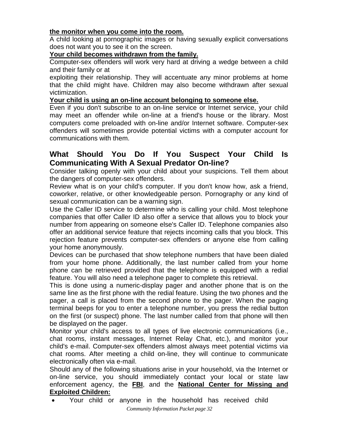#### **the monitor when you come into the room.**

A child looking at pornographic images or having sexually explicit conversations does not want you to see it on the screen.

#### **Your child becomes withdrawn from the family.**

Computer-sex offenders will work very hard at driving a wedge between a child and their family or at

exploiting their relationship. They will accentuate any minor problems at home that the child might have. Children may also become withdrawn after sexual victimization.

#### **Your child is using an on-line account belonging to someone else.**

Even if you don't subscribe to an on-line service or Internet service, your child may meet an offender while on-line at a friend's house or the library. Most computers come preloaded with on-line and/or Internet software. Computer-sex offenders will sometimes provide potential victims with a computer account for communications with them.

# **What Should You Do If You Suspect Your Child Is Communicating With A Sexual Predator On-line?**

Consider talking openly with your child about your suspicions. Tell them about the dangers of computer-sex offenders.

Review what is on your child's computer. If you don't know how, ask a friend, coworker, relative, or other knowledgeable person. Pornography or any kind of sexual communication can be a warning sign.

Use the Caller ID service to determine who is calling your child. Most telephone companies that offer Caller ID also offer a service that allows you to block your number from appearing on someone else's Caller ID. Telephone companies also offer an additional service feature that rejects incoming calls that you block. This rejection feature prevents computer-sex offenders or anyone else from calling your home anonymously.

Devices can be purchased that show telephone numbers that have been dialed from your home phone. Additionally, the last number called from your home phone can be retrieved provided that the telephone is equipped with a redial feature. You will also need a telephone pager to complete this retrieval.

This is done using a numeric-display pager and another phone that is on the same line as the first phone with the redial feature. Using the two phones and the pager, a call is placed from the second phone to the pager. When the paging terminal beeps for you to enter a telephone number, you press the redial button on the first (or suspect) phone. The last number called from that phone will then be displayed on the pager.

Monitor your child's access to all types of live electronic communications (i.e., chat rooms, instant messages, Internet Relay Chat, etc.), and monitor your child's e-mail. Computer-sex offenders almost always meet potential victims via chat rooms. After meeting a child on-line, they will continue to communicate electronically often via e-mail.

Should any of the following situations arise in your household, via the Internet or on-line service, you should immediately contact your local or state law enforcement agency, the **FBI**, and the **National Center for Missing and Exploited Children:**

*Community Information Packet page 32* • Your child or anyone in the household has received child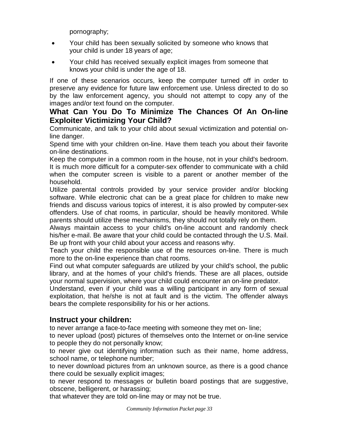pornography;

- Your child has been sexually solicited by someone who knows that your child is under 18 years of age;
- Your child has received sexually explicit images from someone that knows your child is under the age of 18.

If one of these scenarios occurs, keep the computer turned off in order to preserve any evidence for future law enforcement use. Unless directed to do so by the law enforcement agency, you should not attempt to copy any of the images and/or text found on the computer.

# **What Can You Do To Minimize The Chances Of An On-line Exploiter Victimizing Your Child?**

Communicate, and talk to your child about sexual victimization and potential online danger.

Spend time with your children on-line. Have them teach you about their favorite on-line destinations.

Keep the computer in a common room in the house, not in your child's bedroom. It is much more difficult for a computer-sex offender to communicate with a child when the computer screen is visible to a parent or another member of the household.

Utilize parental controls provided by your service provider and/or blocking software. While electronic chat can be a great place for children to make new friends and discuss various topics of interest, it is also prowled by computer-sex offenders. Use of chat rooms, in particular, should be heavily monitored. While parents should utilize these mechanisms, they should not totally rely on them.

Always maintain access to your child's on-line account and randomly check his/her e-mail. Be aware that your child could be contacted through the U.S. Mail. Be up front with your child about your access and reasons why.

Teach your child the responsible use of the resources on-line. There is much more to the on-line experience than chat rooms.

Find out what computer safeguards are utilized by your child's school, the public library, and at the homes of your child's friends. These are all places, outside your normal supervision, where your child could encounter an on-line predator.

Understand, even if your child was a willing participant in any form of sexual exploitation, that he/she is not at fault and is the victim. The offender always bears the complete responsibility for his or her actions.

# **Instruct your children:**

to never arrange a face-to-face meeting with someone they met on- line;

to never upload (post) pictures of themselves onto the Internet or on-line service to people they do not personally know;

to never give out identifying information such as their name, home address, school name, or telephone number;

to never download pictures from an unknown source, as there is a good chance there could be sexually explicit images;

to never respond to messages or bulletin board postings that are suggestive, obscene, belligerent, or harassing;

that whatever they are told on-line may or may not be true.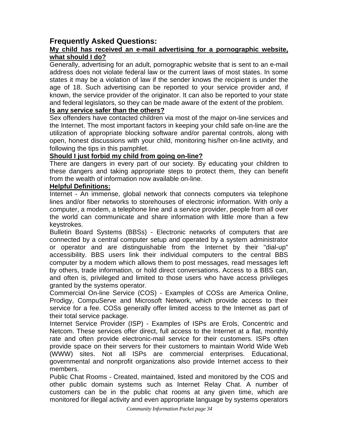# **Frequently Asked Questions:**

### **My child has received an e-mail advertising for a pornographic website, what should I do?**

Generally, advertising for an adult, pornographic website that is sent to an e-mail address does not violate federal law or the current laws of most states. In some states it may be a violation of law if the sender knows the recipient is under the age of 18. Such advertising can be reported to your service provider and, if known, the service provider of the originator. It can also be reported to your state and federal legislators, so they can be made aware of the extent of the problem.

# **Is any service safer than the others?**

Sex offenders have contacted children via most of the major on-line services and the Internet. The most important factors in keeping your child safe on-line are the utilization of appropriate blocking software and/or parental controls, along with open, honest discussions with your child, monitoring his/her on-line activity, and following the tips in this pamphlet.

### **Should I just forbid my child from going on-line?**

There are dangers in every part of our society. By educating your children to these dangers and taking appropriate steps to protect them, they can benefit from the wealth of information now available on-line.

#### **Helpful Definitions:**

Internet - An immense, global network that connects computers via telephone lines and/or fiber networks to storehouses of electronic information. With only a computer, a modem, a telephone line and a service provider, people from all over the world can communicate and share information with little more than a few keystrokes.

Bulletin Board Systems (BBSs) - Electronic networks of computers that are connected by a central computer setup and operated by a system administrator or operator and are distinguishable from the Internet by their "dial-up" accessibility. BBS users link their individual computers to the central BBS computer by a modem which allows them to post messages, read messages left by others, trade information, or hold direct conversations. Access to a BBS can, and often is, privileged and limited to those users who have access privileges granted by the systems operator.

Commercial On-line Service (COS) - Examples of COSs are America Online, Prodigy, CompuServe and Microsoft Network, which provide access to their service for a fee. COSs generally offer limited access to the Internet as part of their total service package.

Internet Service Provider (ISP) - Examples of ISPs are Erols, Concentric and Netcom. These services offer direct, full access to the Internet at a flat, monthly rate and often provide electronic-mail service for their customers. ISPs often provide space on their servers for their customers to maintain World Wide Web (WWW) sites. Not all ISPs are commercial enterprises. Educational, governmental and nonprofit organizations also provide Internet access to their members.

Public Chat Rooms - Created, maintained, listed and monitored by the COS and other public domain systems such as Internet Relay Chat. A number of customers can be in the public chat rooms at any given time, which are monitored for illegal activity and even appropriate language by systems operators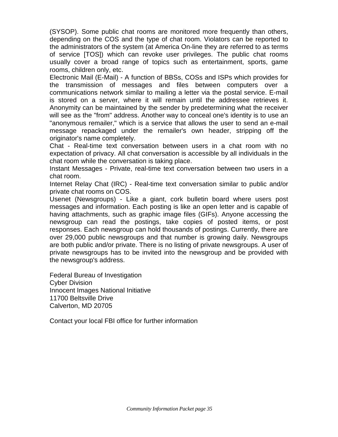(SYSOP). Some public chat rooms are monitored more frequently than others, depending on the COS and the type of chat room. Violators can be reported to the administrators of the system (at America On-line they are referred to as terms of service [TOS]) which can revoke user privileges. The public chat rooms usually cover a broad range of topics such as entertainment, sports, game rooms, children only, etc.

Electronic Mail (E-Mail) - A function of BBSs, COSs and ISPs which provides for the transmission of messages and files between computers over a communications network similar to mailing a letter via the postal service. E-mail is stored on a server, where it will remain until the addressee retrieves it. Anonymity can be maintained by the sender by predetermining what the receiver will see as the "from" address. Another way to conceal one's identity is to use an "anonymous remailer," which is a service that allows the user to send an e-mail message repackaged under the remailer's own header, stripping off the originator's name completely.

Chat - Real-time text conversation between users in a chat room with no expectation of privacy. All chat conversation is accessible by all individuals in the chat room while the conversation is taking place.

Instant Messages - Private, real-time text conversation between two users in a chat room.

Internet Relay Chat (IRC) - Real-time text conversation similar to public and/or private chat rooms on COS.

Usenet (Newsgroups) - Like a giant, cork bulletin board where users post messages and information. Each posting is like an open letter and is capable of having attachments, such as graphic image files (GIFs). Anyone accessing the newsgroup can read the postings, take copies of posted items, or post responses. Each newsgroup can hold thousands of postings. Currently, there are over 29,000 public newsgroups and that number is growing daily. Newsgroups are both public and/or private. There is no listing of private newsgroups. A user of private newsgroups has to be invited into the newsgroup and be provided with the newsgroup's address.

Federal Bureau of Investigation Cyber Division Innocent Images National Initiative 11700 Beltsville Drive Calverton, MD 20705

Contact your local FBI office for further information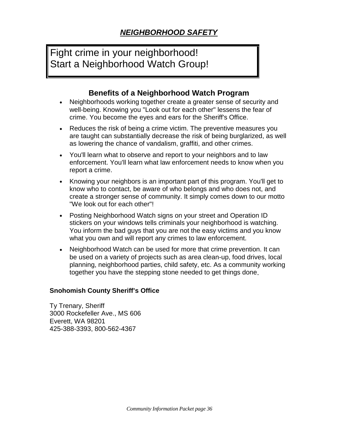# Fight crime in your neighborhood! Start a Neighborhood Watch Group!

# **Benefits of a Neighborhood Watch Program**

- Neighborhoods working together create a greater sense of security and well-being. Knowing you "Look out for each other" lessens the fear of crime. You become the eyes and ears for the Sheriff's Office.
- Reduces the risk of being a crime victim. The preventive measures you are taught can substantially decrease the risk of being burglarized, as well as lowering the chance of vandalism, graffiti, and other crimes.
- You'll learn what to observe and report to your neighbors and to law enforcement. You'll learn what law enforcement needs to know when you report a crime.
- Knowing your neighbors is an important part of this program. You'll get to know who to contact, be aware of who belongs and who does not, and create a stronger sense of community. It simply comes down to our motto "We look out for each other"!
- Posting Neighborhood Watch signs on your street and Operation ID stickers on your windows tells criminals your neighborhood is watching. You inform the bad guys that you are not the easy victims and you know what you own and will report any crimes to law enforcement.
- Neighborhood Watch can be used for more that crime prevention. It can be used on a variety of projects such as area clean-up, food drives, local planning, neighborhood parties, child safety, etc. As a community working together you have the stepping stone needed to get things done.

#### **Snohomish County Sheriff's Office**

Ty Trenary, Sheriff 3000 Rockefeller Ave., MS 606 Everett, WA 98201 425-388-3393, 800-562-4367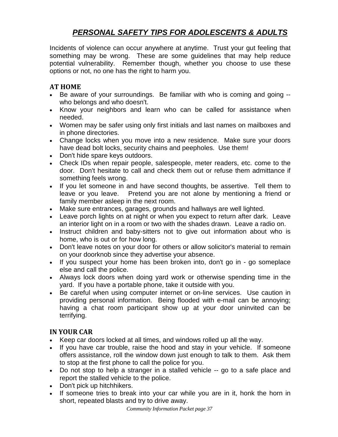# *PERSONAL SAFETY TIPS FOR ADOLESCENTS & ADULTS*

Incidents of violence can occur anywhere at anytime. Trust your gut feeling that something may be wrong. These are some guidelines that may help reduce potential vulnerability. Remember though, whether you choose to use these options or not, no one has the right to harm you.

## **AT HOME**

- Be aware of your surroundings. Be familiar with who is coming and going who belongs and who doesn't.
- Know your neighbors and learn who can be called for assistance when needed.
- Women may be safer using only first initials and last names on mailboxes and in phone directories.
- Change locks when you move into a new residence. Make sure your doors have dead bolt locks, security chains and peepholes. Use them!
- Don't hide spare keys outdoors.
- Check IDs when repair people, salespeople, meter readers, etc. come to the door. Don't hesitate to call and check them out or refuse them admittance if something feels wrong.
- If you let someone in and have second thoughts, be assertive. Tell them to leave or you leave. Pretend you are not alone by mentioning a friend or family member asleep in the next room.
- Make sure entrances, garages, grounds and hallways are well lighted.
- Leave porch lights on at night or when you expect to return after dark. Leave an interior light on in a room or two with the shades drawn. Leave a radio on.
- Instruct children and baby-sitters not to give out information about who is home, who is out or for how long.
- Don't leave notes on your door for others or allow solicitor's material to remain on your doorknob since they advertise your absence.
- If you suspect your home has been broken into, don't go in go someplace else and call the police.
- Always lock doors when doing yard work or otherwise spending time in the yard. If you have a portable phone, take it outside with you.
- Be careful when using computer internet or on-line services. Use caution in providing personal information. Being flooded with e-mail can be annoying; having a chat room participant show up at your door uninvited can be terrifying.

# **IN YOUR CAR**

- Keep car doors locked at all times, and windows rolled up all the way.
- If you have car trouble, raise the hood and stay in your vehicle. If someone offers assistance, roll the window down just enough to talk to them. Ask them to stop at the first phone to call the police for you.
- Do not stop to help a stranger in a stalled vehicle -- go to a safe place and report the stalled vehicle to the police.
- Don't pick up hitchhikers.
- If someone tries to break into your car while you are in it, honk the horn in short, repeated blasts and try to drive away.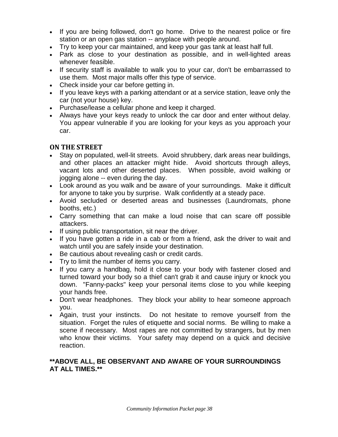- If you are being followed, don't go home. Drive to the nearest police or fire station or an open gas station -- anyplace with people around.
- Try to keep your car maintained, and keep your gas tank at least half full.
- Park as close to your destination as possible, and in well-lighted areas whenever feasible.
- If security staff is available to walk you to your car, don't be embarrassed to use them. Most major malls offer this type of service.
- Check inside your car before getting in.
- If you leave keys with a parking attendant or at a service station, leave only the car (not your house) key.
- Purchase/lease a cellular phone and keep it charged.
- Always have your keys ready to unlock the car door and enter without delay. You appear vulnerable if you are looking for your keys as you approach your car.

#### **ON THE STREET**

- Stay on populated, well-lit streets. Avoid shrubbery, dark areas near buildings, and other places an attacker might hide. Avoid shortcuts through alleys, vacant lots and other deserted places. When possible, avoid walking or jogging alone -- even during the day.
- Look around as you walk and be aware of your surroundings. Make it difficult for anyone to take you by surprise. Walk confidently at a steady pace.
- Avoid secluded or deserted areas and businesses (Laundromats, phone booths, etc.)
- Carry something that can make a loud noise that can scare off possible attackers.
- If using public transportation, sit near the driver.
- If you have gotten a ride in a cab or from a friend, ask the driver to wait and watch until you are safely inside your destination.
- Be cautious about revealing cash or credit cards.
- Try to limit the number of items you carry.
- If you carry a handbag, hold it close to your body with fastener closed and turned toward your body so a thief can't grab it and cause injury or knock you down. "Fanny-packs" keep your personal items close to you while keeping your hands free.
- Don't wear headphones. They block your ability to hear someone approach you.
- Again, trust your instincts. Do not hesitate to remove yourself from the situation. Forget the rules of etiquette and social norms. Be willing to make a scene if necessary. Most rapes are not committed by strangers, but by men who know their victims. Your safety may depend on a quick and decisive reaction.

#### **\*\*ABOVE ALL, BE OBSERVANT AND AWARE OF YOUR SURROUNDINGS AT ALL TIMES.\*\***